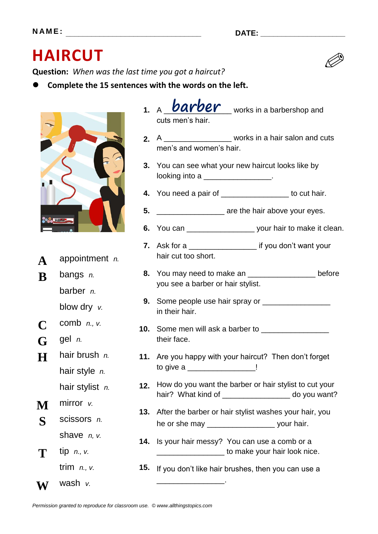## **HAIRCUT**

**Question:** *When was the last time you got a haircut?*

**Complete the 15 sentences with the words on the left.**



- **2.** A \_\_\_\_\_\_\_\_\_\_\_\_\_\_\_\_ works in a hair salon and cuts men's and women's hair.
- **3.** You can see what your new haircut looks like by looking into a **with the set of the set of the set of the set of the set of the set of the set of the set of th**
- **4.** You need a pair of \_\_\_\_\_\_\_\_\_\_\_\_\_\_\_\_ to cut hair.
- **5.** \_\_\_\_\_\_\_\_\_\_\_\_\_\_\_\_\_\_\_\_\_ are the hair above your eyes.
- **6.** You can \_\_\_\_\_\_\_\_\_\_\_\_\_\_\_\_ your hair to make it clean.
- **7.** Ask for a \_\_\_\_\_\_\_\_\_\_\_\_\_\_\_\_\_\_\_ if you don't want your hair cut too short.
- **8.** You may need to make an \_\_\_\_\_\_\_\_\_\_\_\_\_\_\_\_ before you see a barber or hair stylist.
- **9.** Some people use hair spray or \_\_\_\_\_\_\_\_\_\_\_\_\_\_\_\_\_ in their hair.
- **10.** Some men will ask a barber to \_\_\_\_\_\_\_\_\_\_\_\_\_\_\_\_ their face.
- **11.** Are you happy with your haircut? Then don't forget to give a \_\_\_\_\_\_\_\_\_\_\_\_\_\_\_\_\_\_\_\_!
- **12.** How do you want the barber or hair stylist to cut your hair? What kind of do you want?
- **13.** After the barber or hair stylist washes your hair, you he or she may \_\_\_\_\_\_\_\_\_\_\_\_\_\_\_\_\_\_\_\_\_\_\_ your hair.
- **14.** Is your hair messy? You can use a comb or a \_\_\_\_\_\_\_\_\_\_\_\_\_\_\_\_ to make your hair look nice.

**15.** If you don't like hair brushes, then you can use a

\_\_\_\_\_\_\_\_\_\_\_\_\_\_\_\_.

**W** wash *v.*

**T** tip *n., v.*



**A** appointment *n.*

barber *n.*

blow dry *v.*

**B** bangs *n.*

**C** comb *n., v.*

**H** hair brush *n.*

hair style *n.*

hair stylist *n.*

scissors *n.*

shave *n, v.*

trim *n., v.*

**G** gel *n.*

**M** mirror *v.*

**S**